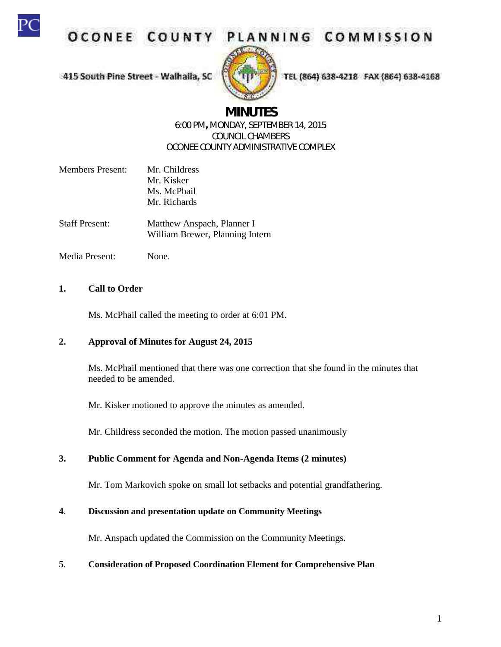

OCONEE COUNT



PLANNING COMMISSION

415 South Pine Street - Walhalla, SC

TEL (864) 638-4218 FAX (864) 638-4168

# **MINUTES**

## 6:00 PM**,** MONDAY, SEPTEMBER 14, 2015 COUNCIL CHAMBERS OCONEE COUNTY ADMINISTRATIVE COMPLEX

- Members Present: Mr. Childress Mr. Kisker Ms. McPhail Mr. Richards
- Staff Present: Matthew Anspach, Planner I William Brewer, Planning Intern
- Media Present: None.

## **1. Call to Order**

Ms. McPhail called the meeting to order at 6:01 PM.

## **2. Approval of Minutes for August 24, 2015**

Ms. McPhail mentioned that there was one correction that she found in the minutes that needed to be amended.

Mr. Kisker motioned to approve the minutes as amended.

Mr. Childress seconded the motion. The motion passed unanimously

## **3. Public Comment for Agenda and Non-Agenda Items (2 minutes)**

Mr. Tom Markovich spoke on small lot setbacks and potential grandfathering.

## **4**. **Discussion and presentation update on Community Meetings**

Mr. Anspach updated the Commission on the Community Meetings.

## **5**. **Consideration of Proposed Coordination Element for Comprehensive Plan**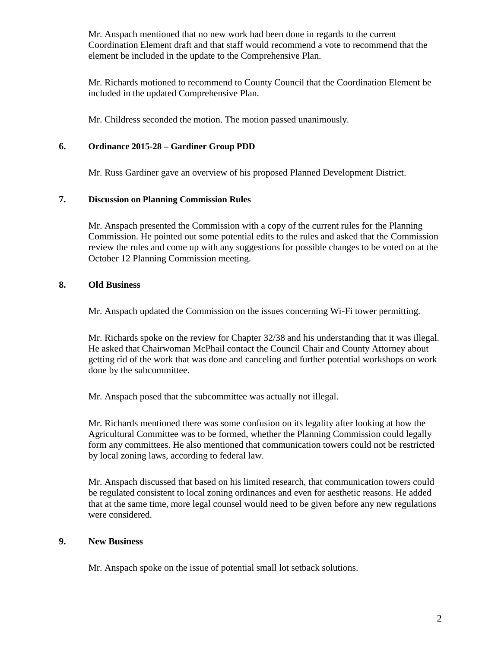Mr. Anspach mentioned that no new work had been done in regards to the current Coordination Element draft and that staff would recommend a vote to recommend that the element be included in the update to the Comprehensive Plan.

Mr. Richards motioned to recommend to County Council that the Coordination Element be included in the updated Comprehensive Plan.

Mr. Childress seconded the motion. The motion passed unanimously.

## **6. Ordinance 2015-28 – Gardiner Group PDD**

Mr. Russ Gardiner gave an overview of his proposed Planned Development District.

## **7. Discussion on Planning Commission Rules**

Mr. Anspach presented the Commission with a copy of the current rules for the Planning Commission. He pointed out some potential edits to the rules and asked that the Commission review the rules and come up with any suggestions for possible changes to be voted on at the October 12 Planning Commission meeting.

### **8. Old Business**

Mr. Anspach updated the Commission on the issues concerning Wi-Fi tower permitting.

Mr. Richards spoke on the review for Chapter 32/38 and his understanding that it was illegal. He asked that Chairwoman McPhail contact the Council Chair and County Attorney about getting rid of the work that was done and canceling and further potential workshops on work done by the subcommittee.

Mr. Anspach posed that the subcommittee was actually not illegal.

Mr. Richards mentioned there was some confusion on its legality after looking at how the Agricultural Committee was to be formed, whether the Planning Commission could legally form any committees. He also mentioned that communication towers could not be restricted by local zoning laws, according to federal law.

Mr. Anspach discussed that based on his limited research, that communication towers could be regulated consistent to local zoning ordinances and even for aesthetic reasons. He added that at the same time, more legal counsel would need to be given before any new regulations were considered.

## **9. New Business**

Mr. Anspach spoke on the issue of potential small lot setback solutions.